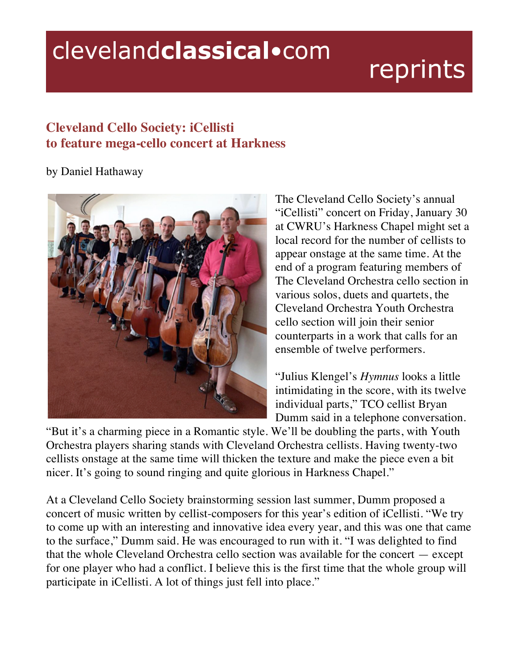## clevelandclassical.com

# reprints

#### **Cleveland Cello Society: iCellisti to feature mega-cello concert at Harkness**

#### by Daniel Hathaway



The Cleveland Cello Society's annual "iCellisti" concert on Friday, January 30 at CWRU's Harkness Chapel might set a local record for the number of cellists to appear onstage at the same time. At the end of a program featuring members of The Cleveland Orchestra cello section in various solos, duets and quartets, the Cleveland Orchestra Youth Orchestra cello section will join their senior counterparts in a work that calls for an ensemble of twelve performers.

"Julius Klengel's *Hymnus* looks a little intimidating in the score, with its twelve individual parts," TCO cellist Bryan Dumm said in a telephone conversation.

"But it's a charming piece in a Romantic style. We'll be doubling the parts, with Youth Orchestra players sharing stands with Cleveland Orchestra cellists. Having twenty-two cellists onstage at the same time will thicken the texture and make the piece even a bit nicer. It's going to sound ringing and quite glorious in Harkness Chapel."

At a Cleveland Cello Society brainstorming session last summer, Dumm proposed a concert of music written by cellist-composers for this year's edition of iCellisti. "We try to come up with an interesting and innovative idea every year, and this was one that came to the surface," Dumm said. He was encouraged to run with it. "I was delighted to find that the whole Cleveland Orchestra cello section was available for the concert — except for one player who had a conflict. I believe this is the first time that the whole group will participate in iCellisti. A lot of things just fell into place."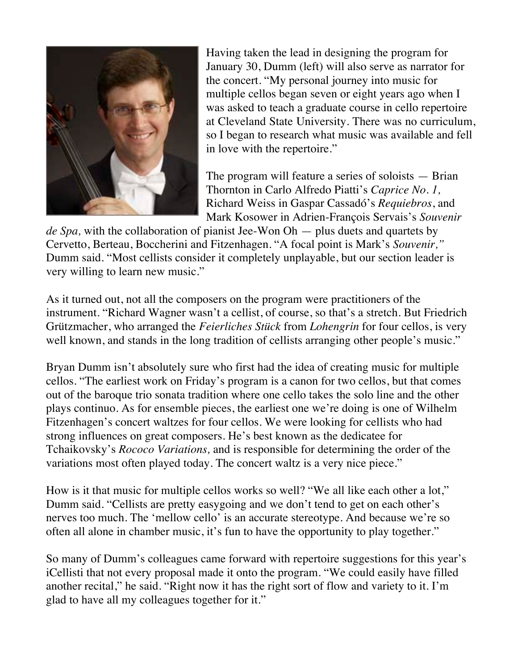

Having taken the lead in designing the program for January 30, Dumm (left) will also serve as narrator for the concert. "My personal journey into music for multiple cellos began seven or eight years ago when I was asked to teach a graduate course in cello repertoire at Cleveland State University. There was no curriculum, so I began to research what music was available and fell in love with the repertoire."

The program will feature a series of soloists — Brian Thornton in Carlo Alfredo Piatti's *Caprice No. 1,*  Richard Weiss in Gaspar Cassadó's *Requiebros*, and Mark Kosower in Adrien-François Servais's *Souvenir* 

*de Spa,* with the collaboration of pianist Jee-Won Oh — plus duets and quartets by Cervetto, Berteau, Boccherini and Fitzenhagen. "A focal point is Mark's *Souvenir,"*  Dumm said. "Most cellists consider it completely unplayable, but our section leader is very willing to learn new music."

As it turned out, not all the composers on the program were practitioners of the instrument. "Richard Wagner wasn't a cellist, of course, so that's a stretch. But Friedrich Grützmacher, who arranged the *Feierliches Stück* from *Lohengrin* for four cellos, is very well known, and stands in the long tradition of cellists arranging other people's music."

Bryan Dumm isn't absolutely sure who first had the idea of creating music for multiple cellos. "The earliest work on Friday's program is a canon for two cellos, but that comes out of the baroque trio sonata tradition where one cello takes the solo line and the other plays continuo. As for ensemble pieces, the earliest one we're doing is one of Wilhelm Fitzenhagen's concert waltzes for four cellos. We were looking for cellists who had strong influences on great composers. He's best known as the dedicatee for Tchaikovsky's *Rococo Variations,* and is responsible for determining the order of the variations most often played today. The concert waltz is a very nice piece."

How is it that music for multiple cellos works so well? "We all like each other a lot," Dumm said. "Cellists are pretty easygoing and we don't tend to get on each other's nerves too much. The 'mellow cello' is an accurate stereotype. And because we're so often all alone in chamber music, it's fun to have the opportunity to play together."

So many of Dumm's colleagues came forward with repertoire suggestions for this year's iCellisti that not every proposal made it onto the program. "We could easily have filled another recital," he said. "Right now it has the right sort of flow and variety to it. I'm glad to have all my colleagues together for it."